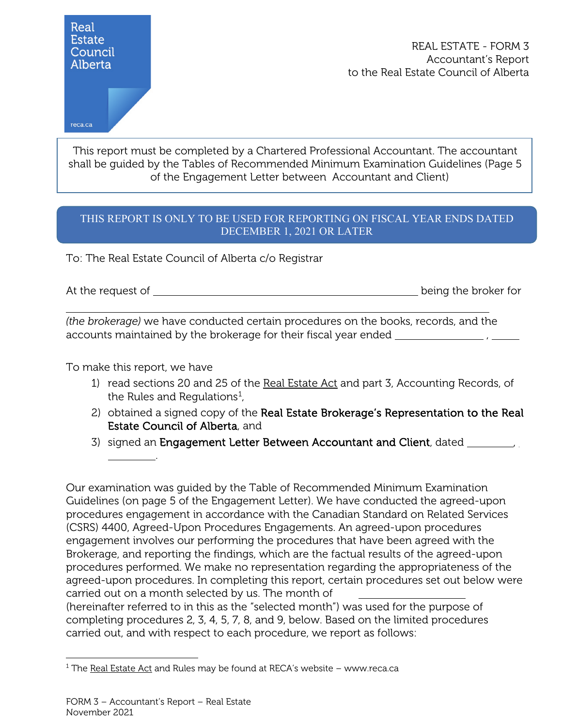

REAL ESTATE - FORM 3 Accountant's Report to the Real Estate Council of Alberta

reca.ca

This report must be completed by a Chartered Professional Accountant. The accountant shall be guided by the Tables of Recommended Minimum Examination Guidelines (Page 5 of the Engagement Letter between Accountant and Client)

## THIS REPORT IS ONLY TO BE USED FOR REPORTING ON FISCAL YEAR ENDS DATED DECEMBER 1, 2021 OR LATER

To: The Real Estate Council of Alberta c/o Registrar

At the request of  $\qquad \qquad$ 

i<br>L

*(the brokerage)* we have conducted certain procedures on the books, records, and the accounts maintained by the brokerage for their fiscal year ended \_\_\_\_\_\_\_\_\_\_\_\_\_\_\_\_, \_\_\_\_\_\_\_

To make this report, we have

.

- 1) read sections 20 and 25 of the Real Estate Act and part 3, Accounting Records, of the Rules and Regulations $^1$  $^1$ ,
- 2) obtained a signed copy of the Real Estate Brokerage's Representation to the Real Estate Council of Alberta, and
- 3) signed an Engagement Letter Between Accountant and Client, dated \_\_\_\_\_\_\_\_\_,

Our examination was guided by the Table of Recommended Minimum Examination Guidelines (on page 5 of the Engagement Letter). We have conducted the agreed-upon procedures engagement in accordance with the Canadian Standard on Related Services (CSRS) 4400, Agreed-Upon Procedures Engagements. An agreed-upon procedures engagement involves our performing the procedures that have been agreed with the Brokerage, and reporting the findings, which are the factual results of the agreed-upon procedures performed. We make no representation regarding the appropriateness of the agreed-upon procedures. In completing this report, certain procedures set out below were carried out on a month selected by us. The month of

(hereinafter referred to in this as the "selected month") was used for the purpose of completing procedures 2, 3, 4, 5, 7, 8, and 9, below. Based on the limited procedures carried out, and with respect to each procedure, we report as follows:

<span id="page-0-0"></span> $1$  The Real Estate Act and Rules may be found at RECA's website – www.reca.ca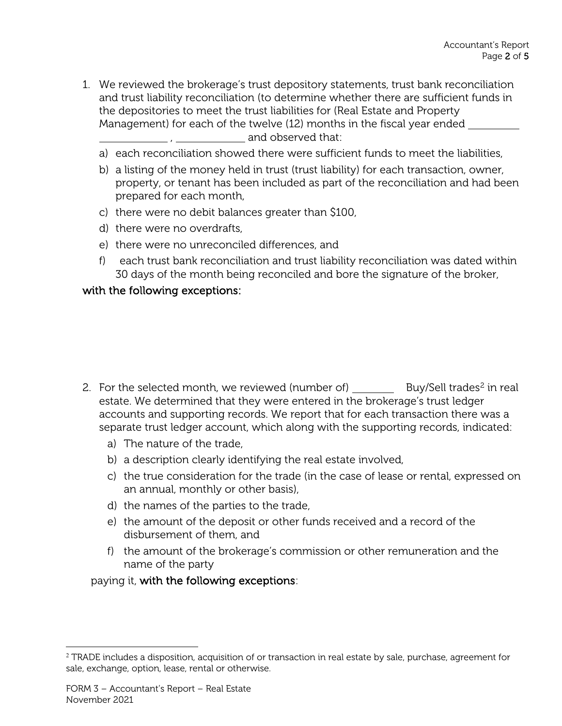- 1. We reviewed the brokerage's trust depository statements, trust bank reconciliation and trust liability reconciliation (to determine whether there are sufficient funds in the depositories to meet the trust liabilities for (Real Estate and Property Management) for each of the twelve (12) months in the fiscal year ended , and observed that:
	- a) each reconciliation showed there were sufficient funds to meet the liabilities,
	- b) a listing of the money held in trust (trust liability) for each transaction, owner, property, or tenant has been included as part of the reconciliation and had been prepared for each month,
	- c) there were no debit balances greater than \$100,
	- d) there were no overdrafts,
	- e) there were no unreconciled differences, and
	- f) each trust bank reconciliation and trust liability reconciliation was dated within 30 days of the month being reconciled and bore the signature of the broker,

## with the following exceptions:

- [2](#page-1-0). For the selected month, we reviewed (number of)  $\qquad \qquad$  Buy/Sell trades<sup>2</sup> in real estate. We determined that they were entered in the brokerage's trust ledger accounts and supporting records. We report that for each transaction there was a separate trust ledger account, which along with the supporting records, indicated:
	- a) The nature of the trade,
	- b) a description clearly identifying the real estate involved,
	- c) the true consideration for the trade (in the case of lease or rental, expressed on an annual, monthly or other basis),
	- d) the names of the parties to the trade,
	- e) the amount of the deposit or other funds received and a record of the disbursement of them, and
	- f) the amount of the brokerage's commission or other remuneration and the name of the party

paying it, with the following exceptions:

<span id="page-1-0"></span><sup>&</sup>lt;sup>2</sup> TRADE includes a disposition, acquisition of or transaction in real estate by sale, purchase, agreement for sale, exchange, option, lease, rental or otherwise.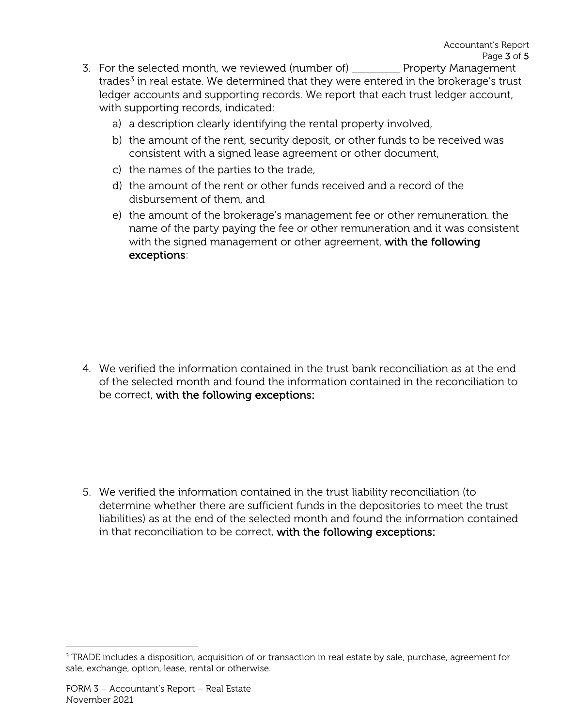- 3. For the selected month, we reviewed (number of) \_\_\_\_\_\_\_\_\_ Property Management trades $3$  in real estate. We determined that they were entered in the brokerage's trust ledger accounts and supporting records. We report that each trust ledger account, with supporting records, indicated:
	- a) a description clearly identifying the rental property involved,
	- b) the amount of the rent, security deposit, or other funds to be received was consistent with a signed lease agreement or other document,
	- c) the names of the parties to the trade,
	- d) the amount of the rent or other funds received and a record of the disbursement of them, and
	- e) the amount of the brokerage's management fee or other remuneration. the name of the party paying the fee or other remuneration and it was consistent with the signed management or other agreement, with the following exceptions:

4. We verified the information contained in the trust bank reconciliation as at the end of the selected month and found the information contained in the reconciliation to be correct, with the following exceptions:

5. We verified the information contained in the trust liability reconciliation (to determine whether there are sufficient funds in the depositories to meet the trust liabilities) as at the end of the selected month and found the information contained in that reconciliation to be correct, with the following exceptions:

<span id="page-2-0"></span><sup>&</sup>lt;sup>3</sup> TRADE includes a disposition, acquisition of or transaction in real estate by sale, purchase, agreement for sale, exchange, option, lease, rental or otherwise.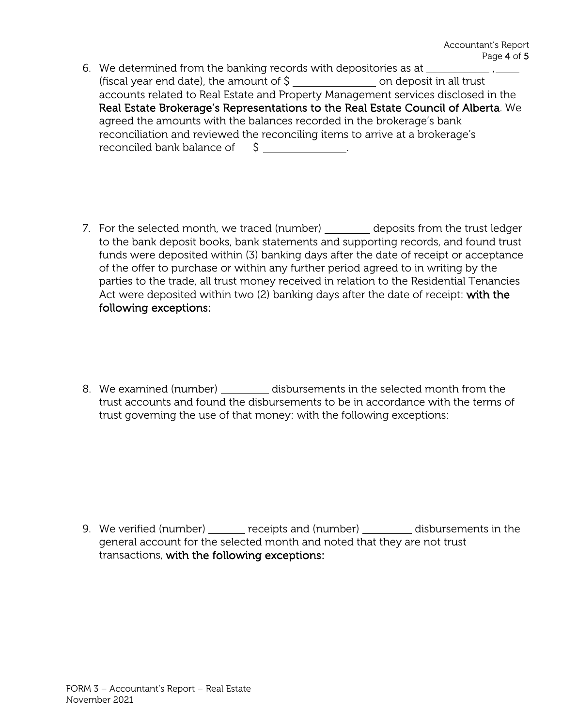- 6. We determined from the banking records with depositories as at \_\_\_\_\_\_ (fiscal year end date), the amount of  $\frac{1}{2}$  \_\_\_\_\_\_\_\_\_\_\_\_\_\_\_\_\_\_\_\_\_\_\_ on deposit in all trust accounts related to Real Estate and Property Management services disclosed in the Real Estate Brokerage's Representations to the Real Estate Council of Alberta. We agreed the amounts with the balances recorded in the brokerage's bank reconciliation and reviewed the reconciling items to arrive at a brokerage's reconciled bank balance of  $\zeta$
- 7. For the selected month, we traced (number) deposits from the trust ledger to the bank deposit books, bank statements and supporting records, and found trust funds were deposited within (3) banking days after the date of receipt or acceptance of the offer to purchase or within any further period agreed to in writing by the parties to the trade, all trust money received in relation to the Residential Tenancies Act were deposited within two (2) banking days after the date of receipt: with the following exceptions:
- 8. We examined (number) disbursements in the selected month from the trust accounts and found the disbursements to be in accordance with the terms of trust governing the use of that money: with the following exceptions:

9. We verified (number) \_\_\_\_\_\_ receipts and (number) \_\_\_\_\_\_\_ disbursements in the general account for the selected month and noted that they are not trust transactions, with the following exceptions: